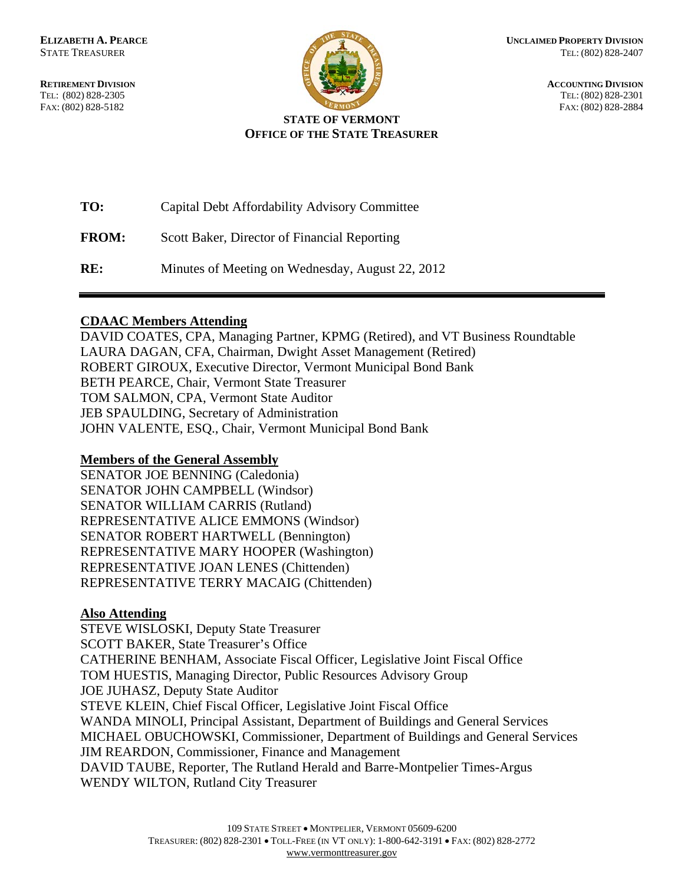**RETIREMENT DIVISION** ACCOUNTING DIVISION TEL: (802) 828-2305 TEL: (802) 828-2301 FAX: (802) 828-5182 FAX: (802) 828-2884



## **STATE OF VERMONT OFFICE OF THE STATE TREASURER**

| TO:          | Capital Debt Affordability Advisory Committee    |
|--------------|--------------------------------------------------|
| <b>FROM:</b> | Scott Baker, Director of Financial Reporting     |
| RE:          | Minutes of Meeting on Wednesday, August 22, 2012 |

## **CDAAC Members Attending**

DAVID COATES, CPA, Managing Partner, KPMG (Retired), and VT Business Roundtable LAURA DAGAN, CFA, Chairman, Dwight Asset Management (Retired) ROBERT GIROUX, Executive Director, Vermont Municipal Bond Bank BETH PEARCE, Chair, Vermont State Treasurer TOM SALMON, CPA, Vermont State Auditor JEB SPAULDING, Secretary of Administration JOHN VALENTE, ESQ., Chair, Vermont Municipal Bond Bank

# **Members of the General Assembly**

SENATOR JOE BENNING (Caledonia) SENATOR JOHN CAMPBELL (Windsor) SENATOR WILLIAM CARRIS (Rutland) REPRESENTATIVE ALICE EMMONS (Windsor) SENATOR ROBERT HARTWELL (Bennington) REPRESENTATIVE MARY HOOPER (Washington) REPRESENTATIVE JOAN LENES (Chittenden) REPRESENTATIVE TERRY MACAIG (Chittenden)

## **Also Attending**

STEVE WISLOSKI, Deputy State Treasurer SCOTT BAKER, State Treasurer's Office CATHERINE BENHAM, Associate Fiscal Officer, Legislative Joint Fiscal Office TOM HUESTIS, Managing Director, Public Resources Advisory Group JOE JUHASZ, Deputy State Auditor STEVE KLEIN, Chief Fiscal Officer, Legislative Joint Fiscal Office WANDA MINOLI, Principal Assistant, Department of Buildings and General Services MICHAEL OBUCHOWSKI, Commissioner, Department of Buildings and General Services JIM REARDON, Commissioner, Finance and Management DAVID TAUBE, Reporter, The Rutland Herald and Barre-Montpelier Times-Argus WENDY WILTON, Rutland City Treasurer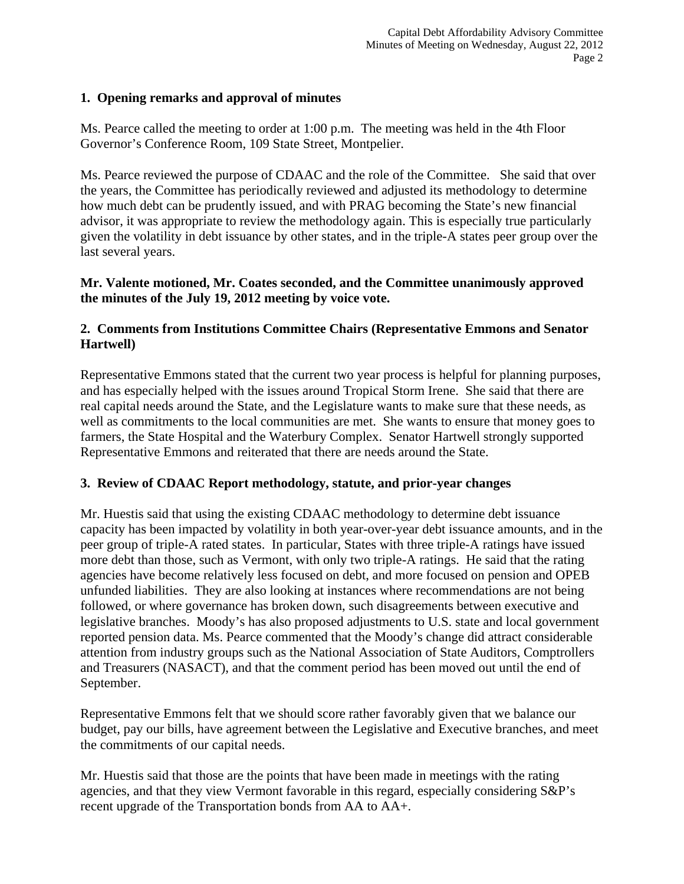## **1. Opening remarks and approval of minutes**

Ms. Pearce called the meeting to order at 1:00 p.m. The meeting was held in the 4th Floor Governor's Conference Room, 109 State Street, Montpelier.

Ms. Pearce reviewed the purpose of CDAAC and the role of the Committee. She said that over the years, the Committee has periodically reviewed and adjusted its methodology to determine how much debt can be prudently issued, and with PRAG becoming the State's new financial advisor, it was appropriate to review the methodology again. This is especially true particularly given the volatility in debt issuance by other states, and in the triple-A states peer group over the last several years.

### **Mr. Valente motioned, Mr. Coates seconded, and the Committee unanimously approved the minutes of the July 19, 2012 meeting by voice vote.**

## **2. Comments from Institutions Committee Chairs (Representative Emmons and Senator Hartwell)**

Representative Emmons stated that the current two year process is helpful for planning purposes, and has especially helped with the issues around Tropical Storm Irene. She said that there are real capital needs around the State, and the Legislature wants to make sure that these needs, as well as commitments to the local communities are met. She wants to ensure that money goes to farmers, the State Hospital and the Waterbury Complex. Senator Hartwell strongly supported Representative Emmons and reiterated that there are needs around the State.

# **3. Review of CDAAC Report methodology, statute, and prior-year changes**

Mr. Huestis said that using the existing CDAAC methodology to determine debt issuance capacity has been impacted by volatility in both year-over-year debt issuance amounts, and in the peer group of triple-A rated states. In particular, States with three triple-A ratings have issued more debt than those, such as Vermont, with only two triple-A ratings. He said that the rating agencies have become relatively less focused on debt, and more focused on pension and OPEB unfunded liabilities. They are also looking at instances where recommendations are not being followed, or where governance has broken down, such disagreements between executive and legislative branches. Moody's has also proposed adjustments to U.S. state and local government reported pension data. Ms. Pearce commented that the Moody's change did attract considerable attention from industry groups such as the National Association of State Auditors, Comptrollers and Treasurers (NASACT), and that the comment period has been moved out until the end of September.

Representative Emmons felt that we should score rather favorably given that we balance our budget, pay our bills, have agreement between the Legislative and Executive branches, and meet the commitments of our capital needs.

Mr. Huestis said that those are the points that have been made in meetings with the rating agencies, and that they view Vermont favorable in this regard, especially considering S&P's recent upgrade of the Transportation bonds from AA to AA+.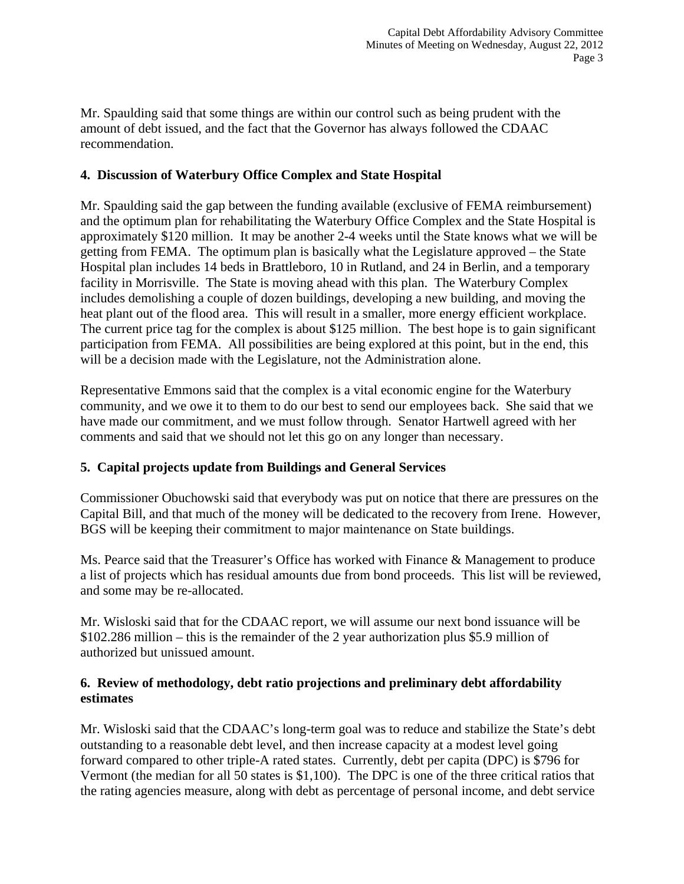Mr. Spaulding said that some things are within our control such as being prudent with the amount of debt issued, and the fact that the Governor has always followed the CDAAC recommendation.

### **4. Discussion of Waterbury Office Complex and State Hospital**

Mr. Spaulding said the gap between the funding available (exclusive of FEMA reimbursement) and the optimum plan for rehabilitating the Waterbury Office Complex and the State Hospital is approximately \$120 million. It may be another 2-4 weeks until the State knows what we will be getting from FEMA. The optimum plan is basically what the Legislature approved – the State Hospital plan includes 14 beds in Brattleboro, 10 in Rutland, and 24 in Berlin, and a temporary facility in Morrisville. The State is moving ahead with this plan. The Waterbury Complex includes demolishing a couple of dozen buildings, developing a new building, and moving the heat plant out of the flood area. This will result in a smaller, more energy efficient workplace. The current price tag for the complex is about \$125 million. The best hope is to gain significant participation from FEMA. All possibilities are being explored at this point, but in the end, this will be a decision made with the Legislature, not the Administration alone.

Representative Emmons said that the complex is a vital economic engine for the Waterbury community, and we owe it to them to do our best to send our employees back. She said that we have made our commitment, and we must follow through. Senator Hartwell agreed with her comments and said that we should not let this go on any longer than necessary.

## **5. Capital projects update from Buildings and General Services**

Commissioner Obuchowski said that everybody was put on notice that there are pressures on the Capital Bill, and that much of the money will be dedicated to the recovery from Irene. However, BGS will be keeping their commitment to major maintenance on State buildings.

Ms. Pearce said that the Treasurer's Office has worked with Finance & Management to produce a list of projects which has residual amounts due from bond proceeds. This list will be reviewed, and some may be re-allocated.

Mr. Wisloski said that for the CDAAC report, we will assume our next bond issuance will be \$102.286 million – this is the remainder of the 2 year authorization plus \$5.9 million of authorized but unissued amount.

### **6. Review of methodology, debt ratio projections and preliminary debt affordability estimates**

Mr. Wisloski said that the CDAAC's long-term goal was to reduce and stabilize the State's debt outstanding to a reasonable debt level, and then increase capacity at a modest level going forward compared to other triple-A rated states. Currently, debt per capita (DPC) is \$796 for Vermont (the median for all 50 states is \$1,100). The DPC is one of the three critical ratios that the rating agencies measure, along with debt as percentage of personal income, and debt service